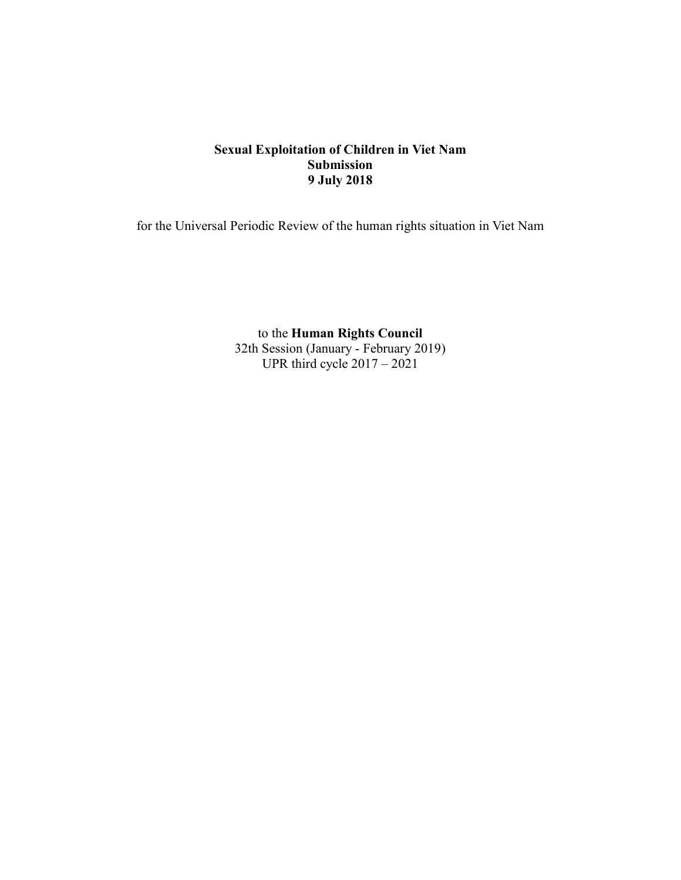# **Sexual Exploitation of Children in Viet Nam Submission 9 July 2018**

for the Universal Periodic Review of the human rights situation in Viet Nam

to the **Human Rights Council** 32th Session (January - February 2019) UPR third cycle 2017 – 2021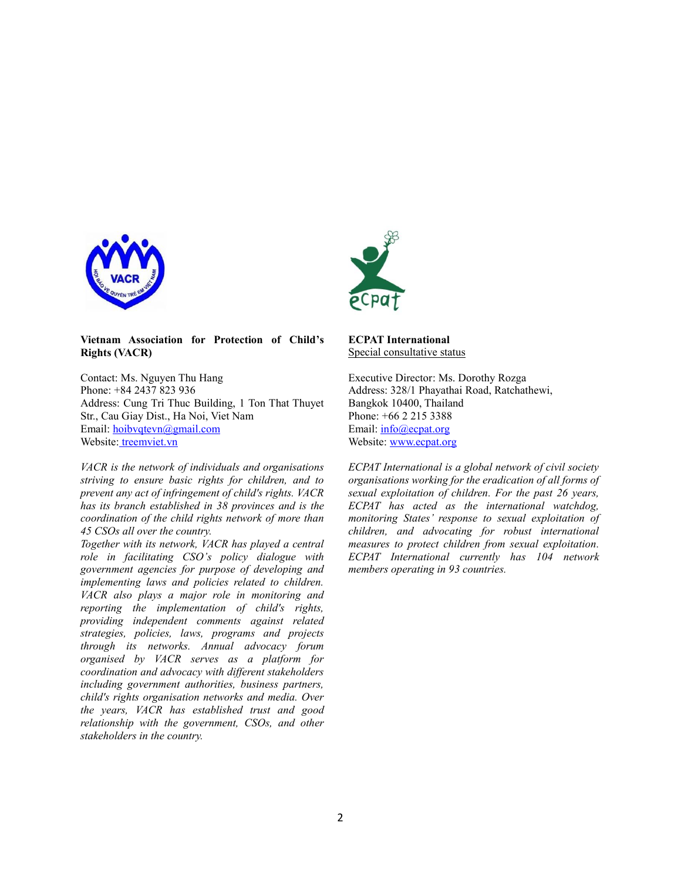



#### **Vietnam Association for Protection of Child's Rights (VACR)**

Contact: Ms. Nguyen Thu Hang Phone: +84 2437 823 936 Address: Cung Tri Thuc Building, 1 Ton That Thuyet Str., Cau Giay Dist., Ha Noi, Viet Nam Email: [hoibvqtevn@gmail.com](mailto:hoibvqtevn@gmail.com) Website: treemviet.vn

*VACR is the network of individuals and organisations striving to ensure basic rights for children, and to prevent any act of infringement of child's rights. VACR has its branch established in 38 provinces and is the coordination of the child rights network of more than 45 CSOs all over the country.*

*Together with its network, VACR has played a central role in facilitating CSO's policy dialogue with government agencies for purpose of developing and implementing laws and policies related to children. VACR also plays a major role in monitoring and reporting the implementation of child's rights, providing independent comments against related strategies, policies, laws, programs and projects through its networks. Annual advocacy forum organised by VACR serves as a platform for coordination and advocacy with different stakeholders including government authorities, business partners, child's rights organisation networks and media. Over the years, VACR has established trust and good relationship with the government, CSOs, and other stakeholders in the country.*

**ECPAT International** Special consultative status

Executive Director: Ms. Dorothy Rozga Address: 328/1 Phayathai Road, Ratchathewi, Bangkok 10400, Thailand Phone: [+66 2 215 3388](tel:+66%202%20215%203388) Email: info@ecpat.org Website: [www.ecpat.org](http://www.ecpat.org/)

*ECPAT International is a global network of civil society organisations working for the eradication of all forms of sexual exploitation of children. For the past 26 years, ECPAT has acted as the international watchdog, monitoring States' response to sexual exploitation of children, and advocating for robust international measures to protect children from sexual exploitation. ECPAT International currently has 104 network members operating in 93 countries.*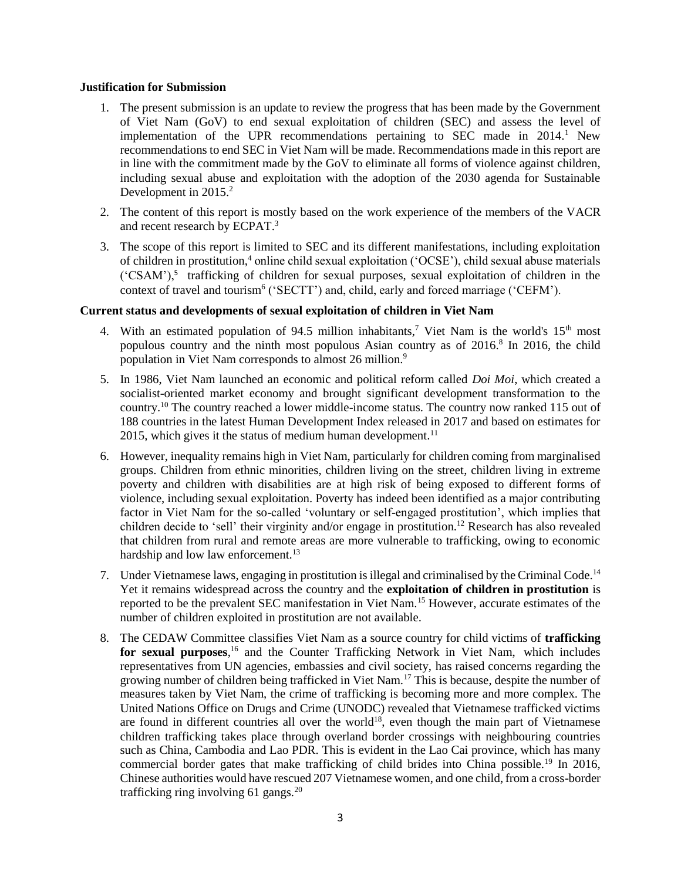#### **Justification for Submission**

- 1. The present submission is an update to review the progress that has been made by the Government of Viet Nam (GoV) to end sexual exploitation of children (SEC) and assess the level of implementation of the UPR recommendations pertaining to SEC made in  $2014<sup>1</sup>$  New recommendations to end SEC in Viet Nam will be made. Recommendations made in this report are in line with the commitment made by the GoV to eliminate all forms of violence against children, including sexual abuse and exploitation with the adoption of the 2030 agenda for Sustainable Development in 2015.<sup>2</sup>
- 2. The content of this report is mostly based on the work experience of the members of the VACR and recent research by ECPAT. 3
- 3. The scope of this report is limited to SEC and its different manifestations, including exploitation of children in prostitution,<sup>4</sup> online child sexual exploitation ('OCSE'), child sexual abuse materials ('CSAM'),<sup>5</sup> trafficking of children for sexual purposes, sexual exploitation of children in the context of travel and tourism<sup>6</sup> ('SECTT') and, child, early and forced marriage ('CEFM').

#### **Current status and developments of sexual exploitation of children in Viet Nam**

- 4. With an estimated population of 94.5 million inhabitants,<sup>7</sup> Viet Nam is the world's  $15<sup>th</sup>$  most populous country and the ninth most populous Asian country as of 2016.<sup>8</sup> In 2016, the child population in Viet Nam corresponds to almost 26 million.<sup>9</sup>
- 5. In 1986, Viet Nam launched an economic and political reform called *Doi Moi*, which created a socialist-oriented market economy and brought significant development transformation to the country.<sup>10</sup> The country reached a lower middle-income status. The country now ranked 115 out of 188 countries in the latest Human Development Index released in 2017 and based on estimates for 2015, which gives it the status of medium human development.<sup>11</sup>
- 6. However, inequality remains high in Viet Nam, particularly for children coming from marginalised groups. Children from ethnic minorities, children living on the street, children living in extreme poverty and children with disabilities are at high risk of being exposed to different forms of violence, including sexual exploitation. Poverty has indeed been identified as a major contributing factor in Viet Nam for the so-called 'voluntary or self-engaged prostitution', which implies that children decide to 'sell' their virginity and/or engage in prostitution.<sup>12</sup> Research has also revealed that children from rural and remote areas are more vulnerable to trafficking, owing to economic hardship and low law enforcement.<sup>13</sup>
- 7. Under Vietnamese laws, engaging in prostitution is illegal and criminalised by the Criminal Code.<sup>14</sup> Yet it remains widespread across the country and the **exploitation of children in prostitution** is reported to be the prevalent SEC manifestation in Viet Nam.<sup>15</sup> However, accurate estimates of the number of children exploited in prostitution are not available.
- 8. The CEDAW Committee classifies Viet Nam as a source country for child victims of **trafficking**  for sexual purposes,<sup>16</sup> and the Counter Trafficking Network in Viet Nam, which includes representatives from UN agencies, embassies and civil society, has raised concerns regarding the growing number of children being trafficked in Viet Nam.<sup>17</sup> This is because, despite the number of measures taken by Viet Nam, the crime of trafficking is becoming more and more complex. The United Nations Office on Drugs and Crime (UNODC) revealed that Vietnamese trafficked victims are found in different countries all over the world<sup>18</sup>, even though the main part of Vietnamese children trafficking takes place through overland border crossings with neighbouring countries such as China, Cambodia and Lao PDR. This is evident in the Lao Cai province, which has many commercial border gates that make trafficking of child brides into China possible.<sup>19</sup> In 2016, Chinese authorities would have rescued 207 Vietnamese women, and one child, from a cross-border trafficking ring involving 61 gangs. $^{20}$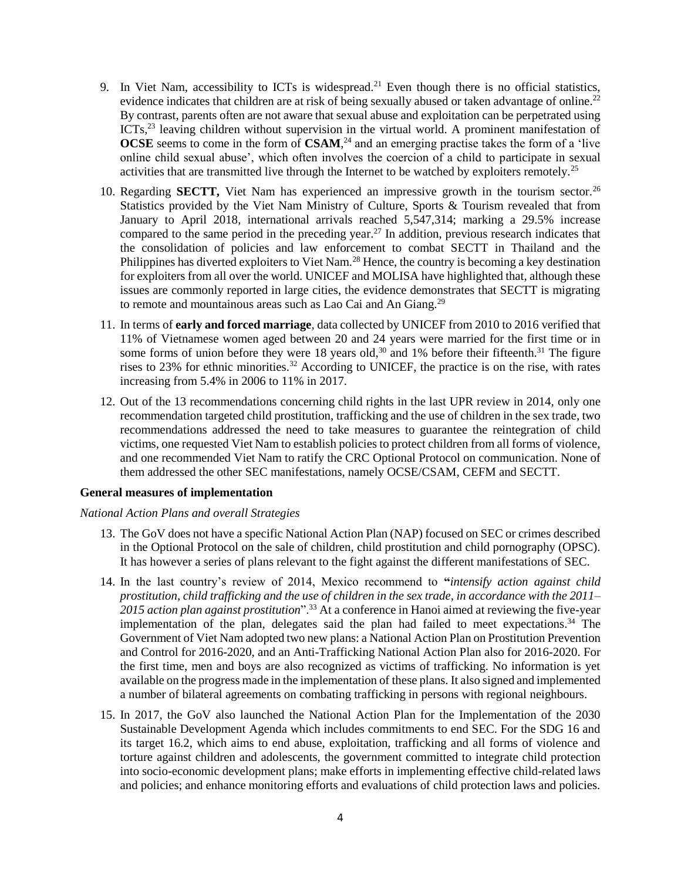- 9. In Viet Nam, accessibility to ICTs is widespread.<sup>21</sup> Even though there is no official statistics, evidence indicates that children are at risk of being sexually abused or taken advantage of online.<sup>22</sup> By contrast, parents often are not aware that sexual abuse and exploitation can be perpetrated using ICTs,<sup>23</sup> leaving children without supervision in the virtual world. A prominent manifestation of **OCSE** seems to come in the form of **CSAM**, <sup>24</sup> and an emerging practise takes the form of a 'live online child sexual abuse', which often involves the coercion of a child to participate in sexual activities that are transmitted live through the Internet to be watched by exploiters remotely.<sup>25</sup>
- 10. Regarding **SECTT**, Viet Nam has experienced an impressive growth in the tourism sector.<sup>26</sup> Statistics provided by the Viet Nam Ministry of Culture, Sports & Tourism revealed that from January to April 2018, international arrivals reached 5,547,314; marking a 29.5% increase compared to the same period in the preceding year.<sup>27</sup> In addition, previous research indicates that the consolidation of policies and law enforcement to combat SECTT in Thailand and the Philippines has diverted exploiters to Viet Nam.<sup>28</sup> Hence, the country is becoming a key destination for exploiters from all over the world. UNICEF and MOLISA have highlighted that, although these issues are commonly reported in large cities, the evidence demonstrates that SECTT is migrating to remote and mountainous areas such as Lao Cai and An Giang.<sup>29</sup>
- 11. In terms of **early and forced marriage**, data collected by UNICEF from 2010 to 2016 verified that 11% of Vietnamese women aged between 20 and 24 years were married for the first time or in some forms of union before they were 18 years old,<sup>30</sup> and 1% before their fifteenth.<sup>31</sup> The figure rises to 23% for ethnic minorities.<sup>32</sup> According to UNICEF, the practice is on the rise, with rates increasing from 5.4% in 2006 to 11% in 2017.
- 12. Out of the 13 recommendations concerning child rights in the last UPR review in 2014, only one recommendation targeted child prostitution, trafficking and the use of children in the sex trade, two recommendations addressed the need to take measures to guarantee the reintegration of child victims, one requested Viet Nam to establish policies to protect children from all forms of violence, and one recommended Viet Nam to ratify the CRC Optional Protocol on communication. None of them addressed the other SEC manifestations, namely OCSE/CSAM, CEFM and SECTT.

#### **General measures of implementation**

#### *National Action Plans and overall Strategies*

- 13. The GoV does not have a specific National Action Plan (NAP) focused on SEC or crimes described in the Optional Protocol on the sale of children, child prostitution and child pornography (OPSC). It has however a series of plans relevant to the fight against the different manifestations of SEC.
- 14. In the last country's review of 2014, Mexico recommend to **"***intensify action against child prostitution, child trafficking and the use of children in the sex trade, in accordance with the 2011– 2015 action plan against prostitution*".<sup>33</sup> At a conference in Hanoi aimed at reviewing the five-year implementation of the plan, delegates said the plan had failed to meet expectations.<sup>34</sup> The Government of Viet Nam adopted two new plans: a National Action Plan on Prostitution Prevention and Control for 2016-2020, and an Anti-Trafficking National Action Plan also for 2016-2020. For the first time, men and boys are also recognized as victims of trafficking. No information is yet available on the progress made in the implementation of these plans. It also signed and implemented a number of bilateral agreements on combating trafficking in persons with regional neighbours.
- 15. In 2017, the GoV also launched the National Action Plan for the Implementation of the 2030 Sustainable Development Agenda which includes commitments to end SEC. For the SDG 16 and its target 16.2, which aims to end abuse, exploitation, trafficking and all forms of violence and torture against children and adolescents, the government committed to integrate child protection into socio-economic development plans; make efforts in implementing effective child-related laws and policies; and enhance monitoring efforts and evaluations of child protection laws and policies.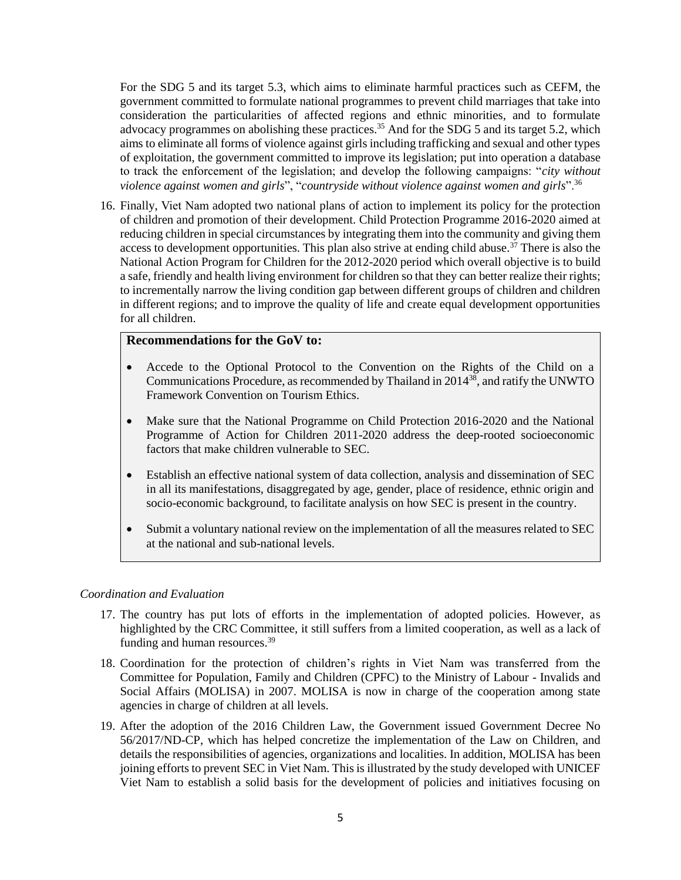For the SDG 5 and its target 5.3, which aims to eliminate harmful practices such as CEFM, the government committed to formulate national programmes to prevent child marriages that take into consideration the particularities of affected regions and ethnic minorities, and to formulate advocacy programmes on abolishing these practices.<sup>35</sup> And for the SDG 5 and its target 5.2, which aims to eliminate all forms of violence against girls including trafficking and sexual and other types of exploitation, the government committed to improve its legislation; put into operation a database to track the enforcement of the legislation; and develop the following campaigns: "*city without violence against women and girls*", "*countryside without violence against women and girls*".<sup>36</sup>

16. Finally, Viet Nam adopted two national plans of action to implement its policy for the protection of children and promotion of their development. Child Protection Programme 2016-2020 aimed at reducing children in special circumstances by integrating them into the community and giving them access to development opportunities. This plan also strive at ending child abuse.<sup>37</sup> There is also the National Action Program for Children for the 2012-2020 period which overall objective is to build a safe, friendly and health living environment for children so that they can better realize their rights; to incrementally narrow the living condition gap between different groups of children and children in different regions; and to improve the quality of life and create equal development opportunities for all children.

### **Recommendations for the GoV to:**

- Accede to the Optional Protocol to the Convention on the Rights of the Child on a Communications Procedure, as recommended by Thailand in 2014<sup>38</sup>, and ratify the UNWTO Framework Convention on Tourism Ethics.
- Make sure that the National Programme on Child Protection 2016-2020 and the National Programme of Action for Children 2011-2020 address the deep-rooted socioeconomic factors that make children vulnerable to SEC.
- Establish an effective national system of data collection, analysis and dissemination of SEC in all its manifestations, disaggregated by age, gender, place of residence, ethnic origin and socio-economic background, to facilitate analysis on how SEC is present in the country.
- Submit a voluntary national review on the implementation of all the measures related to SEC at the national and sub-national levels.

#### *Coordination and Evaluation*

- 17. The country has put lots of efforts in the implementation of adopted policies. However, as highlighted by the CRC Committee, it still suffers from a limited cooperation, as well as a lack of funding and human resources.<sup>39</sup>
- 18. Coordination for the protection of children's rights in Viet Nam was transferred from the Committee for Population, Family and Children (CPFC) to the Ministry of Labour - Invalids and Social Affairs (MOLISA) in 2007. MOLISA is now in charge of the cooperation among state agencies in charge of children at all levels.
- 19. After the adoption of the 2016 Children Law, the Government issued Government Decree No 56/2017/ND-CP, which has helped concretize the implementation of the Law on Children, and details the responsibilities of agencies, organizations and localities. In addition, MOLISA has been joining efforts to prevent SEC in Viet Nam. This is illustrated by the study developed with UNICEF Viet Nam to establish a solid basis for the development of policies and initiatives focusing on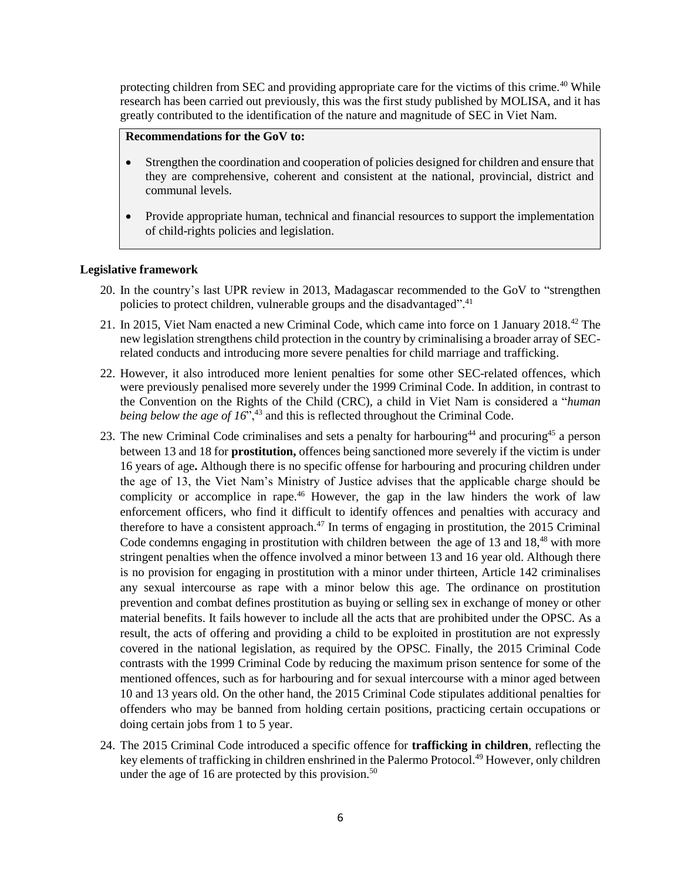protecting children from SEC and providing appropriate care for the victims of this crime.<sup>40</sup> While research has been carried out previously, this was the first study published by MOLISA, and it has greatly contributed to the identification of the nature and magnitude of SEC in Viet Nam.

### **Recommendations for the GoV to:**

- Strengthen the coordination and cooperation of policies designed for children and ensure that they are comprehensive, coherent and consistent at the national, provincial, district and communal levels.
- Provide appropriate human, technical and financial resources to support the implementation of child-rights policies and legislation.

#### **Legislative framework**

- 20. In the country's last UPR review in 2013, Madagascar recommended to the GoV to "strengthen policies to protect children, vulnerable groups and the disadvantaged".<sup>41</sup>
- 21. In 2015, Viet Nam enacted a new Criminal Code, which came into force on 1 January 2018.<sup>42</sup> The new legislation strengthens child protection in the country by criminalising a broader array of SECrelated conducts and introducing more severe penalties for child marriage and trafficking.
- 22. However, it also introduced more lenient penalties for some other SEC-related offences, which were previously penalised more severely under the 1999 Criminal Code. In addition, in contrast to the Convention on the Rights of the Child (CRC), a child in Viet Nam is considered a "*human being below the age of 16*<sup> $\cdot$ </sup>,<sup>43</sup> and this is reflected throughout the Criminal Code.
- 23. The new Criminal Code criminalises and sets a penalty for harbouring<sup>44</sup> and procuring<sup>45</sup> a person between 13 and 18 for **prostitution,** offences being sanctioned more severely if the victim is under 16 years of age**.** Although there is no specific offense for harbouring and procuring children under the age of 13, the Viet Nam's Ministry of Justice advises that the applicable charge should be complicity or accomplice in rape.<sup>46</sup> However, the gap in the law hinders the work of law enforcement officers, who find it difficult to identify offences and penalties with accuracy and therefore to have a consistent approach.<sup>47</sup> In terms of engaging in prostitution, the 2015 Criminal Code condemns engaging in prostitution with children between the age of 13 and 18,<sup>48</sup> with more stringent penalties when the offence involved a minor between 13 and 16 year old. Although there is no provision for engaging in prostitution with a minor under thirteen, Article 142 criminalises any sexual intercourse as rape with a minor below this age. The ordinance on prostitution prevention and combat defines prostitution as buying or selling sex in exchange of money or other material benefits. It fails however to include all the acts that are prohibited under the OPSC. As a result, the acts of offering and providing a child to be exploited in prostitution are not expressly covered in the national legislation, as required by the OPSC. Finally, the 2015 Criminal Code contrasts with the 1999 Criminal Code by reducing the maximum prison sentence for some of the mentioned offences, such as for harbouring and for sexual intercourse with a minor aged between 10 and 13 years old. On the other hand, the 2015 Criminal Code stipulates additional penalties for offenders who may be banned from holding certain positions, practicing certain occupations or doing certain jobs from 1 to 5 year.
- 24. The 2015 Criminal Code introduced a specific offence for **trafficking in children**, reflecting the key elements of trafficking in children enshrined in the Palermo Protocol.<sup>49</sup> However, only children under the age of 16 are protected by this provision.<sup>50</sup>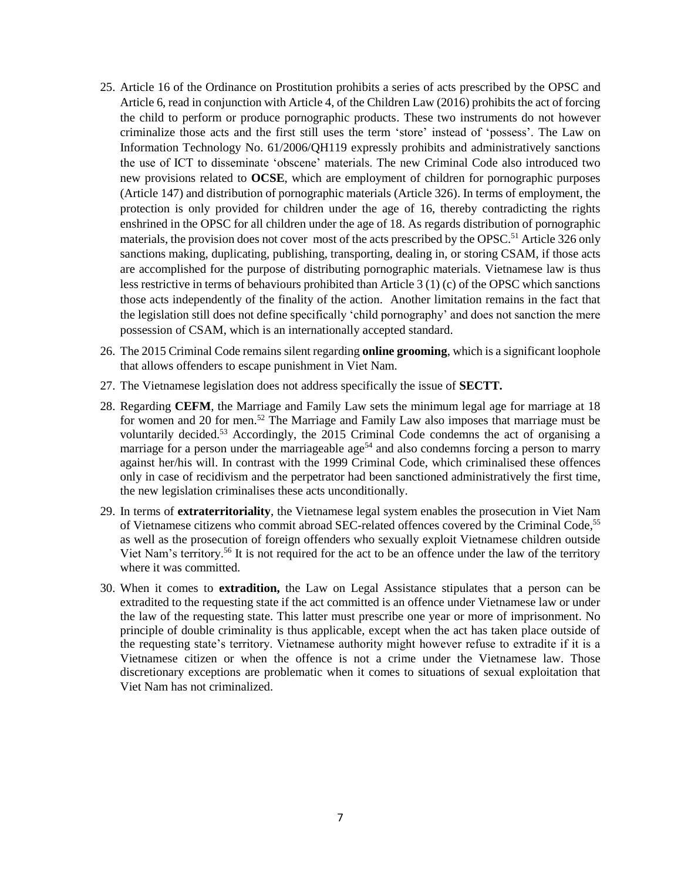- 25. Article 16 of the Ordinance on Prostitution prohibits a series of acts prescribed by the OPSC and Article 6, read in conjunction with Article 4, of the Children Law (2016) prohibits the act of forcing the child to perform or produce pornographic products. These two instruments do not however criminalize those acts and the first still uses the term 'store' instead of 'possess'. The Law on Information Technology No. 61/2006/QH119 expressly prohibits and administratively sanctions the use of ICT to disseminate 'obscene' materials. The new Criminal Code also introduced two new provisions related to **OCSE**, which are employment of children for pornographic purposes (Article 147) and distribution of pornographic materials (Article 326). In terms of employment, the protection is only provided for children under the age of 16, thereby contradicting the rights enshrined in the OPSC for all children under the age of 18. As regards distribution of pornographic materials, the provision does not cover most of the acts prescribed by the OPSC.<sup>51</sup> Article 326 only sanctions making, duplicating, publishing, transporting, dealing in, or storing CSAM, if those acts are accomplished for the purpose of distributing pornographic materials. Vietnamese law is thus less restrictive in terms of behaviours prohibited than Article 3 (1) (c) of the OPSC which sanctions those acts independently of the finality of the action. Another limitation remains in the fact that the legislation still does not define specifically 'child pornography' and does not sanction the mere possession of CSAM, which is an internationally accepted standard.
- 26. The 2015 Criminal Code remains silent regarding **online grooming**, which is a significant loophole that allows offenders to escape punishment in Viet Nam.
- 27. The Vietnamese legislation does not address specifically the issue of **SECTT.**
- 28. Regarding **CEFM**, the Marriage and Family Law sets the minimum legal age for marriage at 18 for women and 20 for men.<sup>52</sup> The Marriage and Family Law also imposes that marriage must be voluntarily decided.<sup>53</sup> Accordingly, the 2015 Criminal Code condemns the act of organising a marriage for a person under the marriageable age<sup>54</sup> and also condemns forcing a person to marry against her/his will. In contrast with the 1999 Criminal Code, which criminalised these offences only in case of recidivism and the perpetrator had been sanctioned administratively the first time, the new legislation criminalises these acts unconditionally.
- 29. In terms of **extraterritoriality**, the Vietnamese legal system enables the prosecution in Viet Nam of Vietnamese citizens who commit abroad SEC-related offences covered by the Criminal Code,<sup>55</sup> as well as the prosecution of foreign offenders who sexually exploit Vietnamese children outside Viet Nam's territory.<sup>56</sup> It is not required for the act to be an offence under the law of the territory where it was committed.
- 30. When it comes to **extradition,** the Law on Legal Assistance stipulates that a person can be extradited to the requesting state if the act committed is an offence under Vietnamese law or under the law of the requesting state. This latter must prescribe one year or more of imprisonment. No principle of double criminality is thus applicable, except when the act has taken place outside of the requesting state's territory. Vietnamese authority might however refuse to extradite if it is a Vietnamese citizen or when the offence is not a crime under the Vietnamese law. Those discretionary exceptions are problematic when it comes to situations of sexual exploitation that Viet Nam has not criminalized.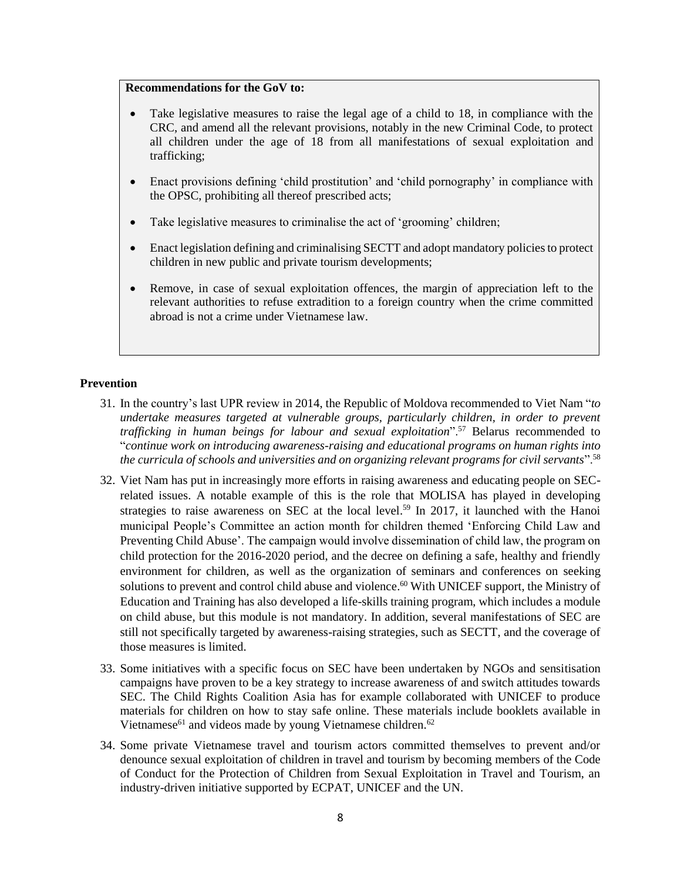### **Recommendations for the GoV to:**

- Take legislative measures to raise the legal age of a child to 18, in compliance with the CRC, and amend all the relevant provisions, notably in the new Criminal Code, to protect all children under the age of 18 from all manifestations of sexual exploitation and trafficking;
- Enact provisions defining 'child prostitution' and 'child pornography' in compliance with the OPSC, prohibiting all thereof prescribed acts;
- Take legislative measures to criminalise the act of 'grooming' children;
- Enact legislation defining and criminalising SECTT and adopt mandatory policies to protect children in new public and private tourism developments;
- Remove, in case of sexual exploitation offences, the margin of appreciation left to the relevant authorities to refuse extradition to a foreign country when the crime committed abroad is not a crime under Vietnamese law.

#### **Prevention**

- 31. In the country's last UPR review in 2014, the Republic of Moldova recommended to Viet Nam "*to undertake measures targeted at vulnerable groups, particularly children, in order to prevent trafficking in human beings for labour and sexual exploitation*".<sup>57</sup> Belarus recommended to "*continue work on introducing awareness-raising and educational programs on human rights into the curricula of schools and universities and on organizing relevant programs for civil servants*".<sup>58</sup>
- 32. Viet Nam has put in increasingly more efforts in raising awareness and educating people on SECrelated issues. A notable example of this is the role that MOLISA has played in developing strategies to raise awareness on SEC at the local level.<sup>59</sup> In 2017, it launched with the Hanoi municipal People's Committee an action month for children themed 'Enforcing Child Law and Preventing Child Abuse'. The campaign would involve dissemination of child law, the program on child protection for the 2016-2020 period, and the decree on defining a safe, healthy and friendly environment for children, as well as the organization of seminars and conferences on seeking solutions to prevent and control child abuse and violence.<sup>60</sup> With UNICEF support, the Ministry of Education and Training has also developed a life-skills training program, which includes a module on child abuse, but this module is not mandatory. In addition, several manifestations of SEC are still not specifically targeted by awareness-raising strategies, such as SECTT, and the coverage of those measures is limited.
- 33. Some initiatives with a specific focus on SEC have been undertaken by NGOs and sensitisation campaigns have proven to be a key strategy to increase awareness of and switch attitudes towards SEC. The Child Rights Coalition Asia has for example collaborated with UNICEF to produce materials for children on how to stay safe online. These materials include booklets available in Vietnamese $^{61}$  and videos made by young Vietnamese children. $^{62}$
- 34. Some private Vietnamese travel and tourism actors committed themselves to prevent and/or denounce sexual exploitation of children in travel and tourism by becoming members of the Code of Conduct for the Protection of Children from Sexual Exploitation in Travel and Tourism, an industry-driven initiative supported by ECPAT, UNICEF and the UN.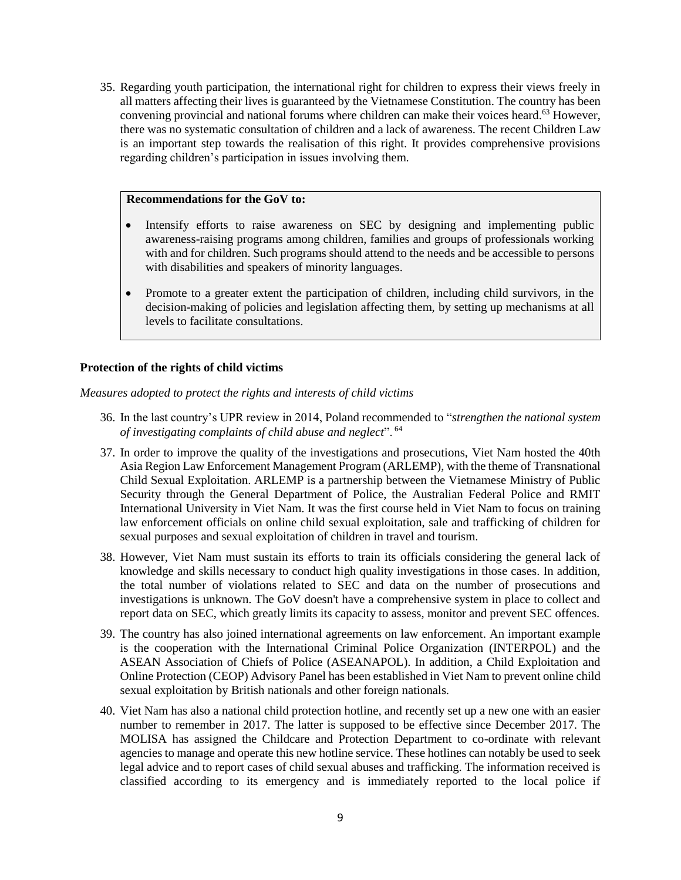35. Regarding youth participation, the international right for children to express their views freely in all matters affecting their lives is guaranteed by the Vietnamese Constitution. The country has been convening provincial and national forums where children can make their voices heard.<sup>63</sup> However, there was no systematic consultation of children and a lack of awareness. The recent Children Law is an important step towards the realisation of this right. It provides comprehensive provisions regarding children's participation in issues involving them.

### **Recommendations for the GoV to:**

- Intensify efforts to raise awareness on SEC by designing and implementing public awareness-raising programs among children, families and groups of professionals working with and for children. Such programs should attend to the needs and be accessible to persons with disabilities and speakers of minority languages.
- Promote to a greater extent the participation of children, including child survivors, in the decision-making of policies and legislation affecting them, by setting up mechanisms at all levels to facilitate consultations.

#### **Protection of the rights of child victims**

*Measures adopted to protect the rights and interests of child victims*

- 36. In the last country's UPR review in 2014, Poland recommended to "*strengthen the national system of investigating complaints of child abuse and neglect*". <sup>64</sup>
- 37. In order to improve the quality of the investigations and prosecutions, Viet Nam hosted the 40th Asia Region Law Enforcement Management Program (ARLEMP), with the theme of Transnational Child Sexual Exploitation. ARLEMP is a partnership between the Vietnamese Ministry of Public Security through the General Department of Police, the Australian Federal Police and RMIT International University in Viet Nam. It was the first course held in Viet Nam to focus on training law enforcement officials on online child sexual exploitation, sale and trafficking of children for sexual purposes and sexual exploitation of children in travel and tourism.
- 38. However, Viet Nam must sustain its efforts to train its officials considering the general lack of knowledge and skills necessary to conduct high quality investigations in those cases. In addition, the total number of violations related to SEC and data on the number of prosecutions and investigations is unknown. The GoV doesn't have a comprehensive system in place to collect and report data on SEC, which greatly limits its capacity to assess, monitor and prevent SEC offences.
- 39. The country has also joined international agreements on law enforcement. An important example is the cooperation with the International Criminal Police Organization (INTERPOL) and the ASEAN Association of Chiefs of Police (ASEANAPOL). In addition, a Child Exploitation and Online Protection (CEOP) Advisory Panel has been established in Viet Nam to prevent online child sexual exploitation by British nationals and other foreign nationals.
- 40. Viet Nam has also a national child protection hotline, and recently set up a new one with an easier number to remember in 2017. The latter is supposed to be effective since December 2017. The MOLISA has assigned the Childcare and Protection Department to co-ordinate with relevant agencies to manage and operate this new hotline service. These hotlines can notably be used to seek legal advice and to report cases of child sexual abuses and trafficking. The information received is classified according to its emergency and is immediately reported to the local police if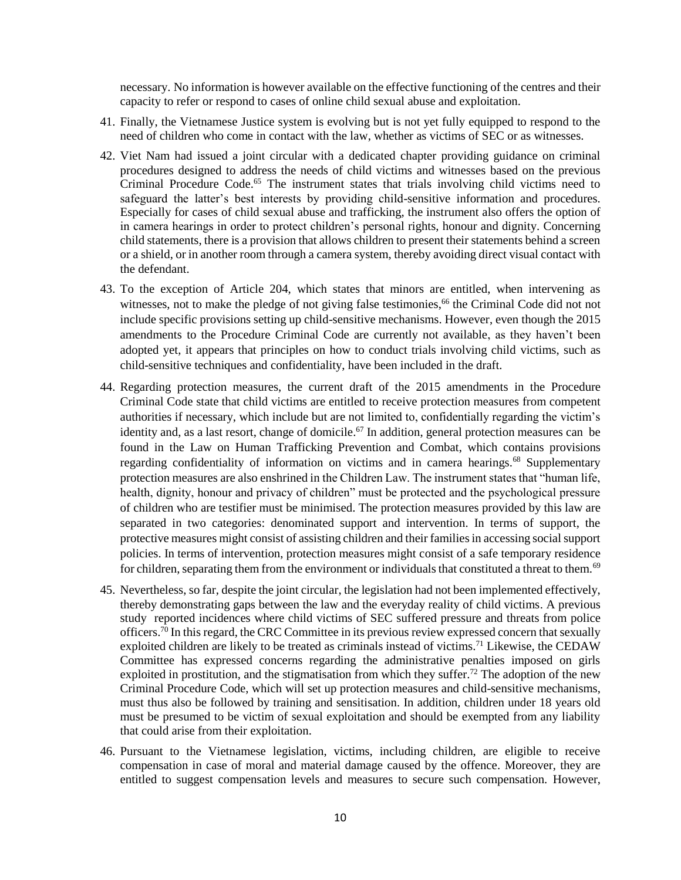necessary. No information is however available on the effective functioning of the centres and their capacity to refer or respond to cases of online child sexual abuse and exploitation.

- 41. Finally, the Vietnamese Justice system is evolving but is not yet fully equipped to respond to the need of children who come in contact with the law, whether as victims of SEC or as witnesses.
- 42. Viet Nam had issued a joint circular with a dedicated chapter providing guidance on criminal procedures designed to address the needs of child victims and witnesses based on the previous Criminal Procedure Code.<sup>65</sup> The instrument states that trials involving child victims need to safeguard the latter's best interests by providing child-sensitive information and procedures. Especially for cases of child sexual abuse and trafficking, the instrument also offers the option of in camera hearings in order to protect children's personal rights, honour and dignity. Concerning child statements, there is a provision that allows children to present their statements behind a screen or a shield, or in another room through a camera system, thereby avoiding direct visual contact with the defendant.
- 43. To the exception of Article 204, which states that minors are entitled, when intervening as witnesses, not to make the pledge of not giving false testimonies,<sup>66</sup> the Criminal Code did not not include specific provisions setting up child-sensitive mechanisms. However, even though the 2015 amendments to the Procedure Criminal Code are currently not available, as they haven't been adopted yet, it appears that principles on how to conduct trials involving child victims, such as child-sensitive techniques and confidentiality, have been included in the draft.
- 44. Regarding protection measures, the current draft of the 2015 amendments in the Procedure Criminal Code state that child victims are entitled to receive protection measures from competent authorities if necessary, which include but are not limited to, confidentially regarding the victim's identity and, as a last resort, change of domicile.<sup>67</sup> In addition, general protection measures can be found in the Law on Human Trafficking Prevention and Combat, which contains provisions regarding confidentiality of information on victims and in camera hearings.<sup>68</sup> Supplementary protection measures are also enshrined in the Children Law. The instrument states that "human life, health, dignity, honour and privacy of children" must be protected and the psychological pressure of children who are testifier must be minimised. The protection measures provided by this law are separated in two categories: denominated support and intervention. In terms of support, the protective measures might consist of assisting children and their families in accessing social support policies. In terms of intervention, protection measures might consist of a safe temporary residence for children, separating them from the environment or individuals that constituted a threat to them.<sup>69</sup>
- 45. Nevertheless, so far, despite the joint circular, the legislation had not been implemented effectively, thereby demonstrating gaps between the law and the everyday reality of child victims. A previous study reported incidences where child victims of SEC suffered pressure and threats from police officers.<sup>70</sup> In this regard, the CRC Committee in its previous review expressed concern that sexually exploited children are likely to be treated as criminals instead of victims.<sup>71</sup> Likewise, the CEDAW Committee has expressed concerns regarding the administrative penalties imposed on girls exploited in prostitution, and the stigmatisation from which they suffer.<sup>72</sup> The adoption of the new Criminal Procedure Code, which will set up protection measures and child-sensitive mechanisms, must thus also be followed by training and sensitisation. In addition, children under 18 years old must be presumed to be victim of sexual exploitation and should be exempted from any liability that could arise from their exploitation.
- 46. Pursuant to the Vietnamese legislation, victims, including children, are eligible to receive compensation in case of moral and material damage caused by the offence. Moreover, they are entitled to suggest compensation levels and measures to secure such compensation. However,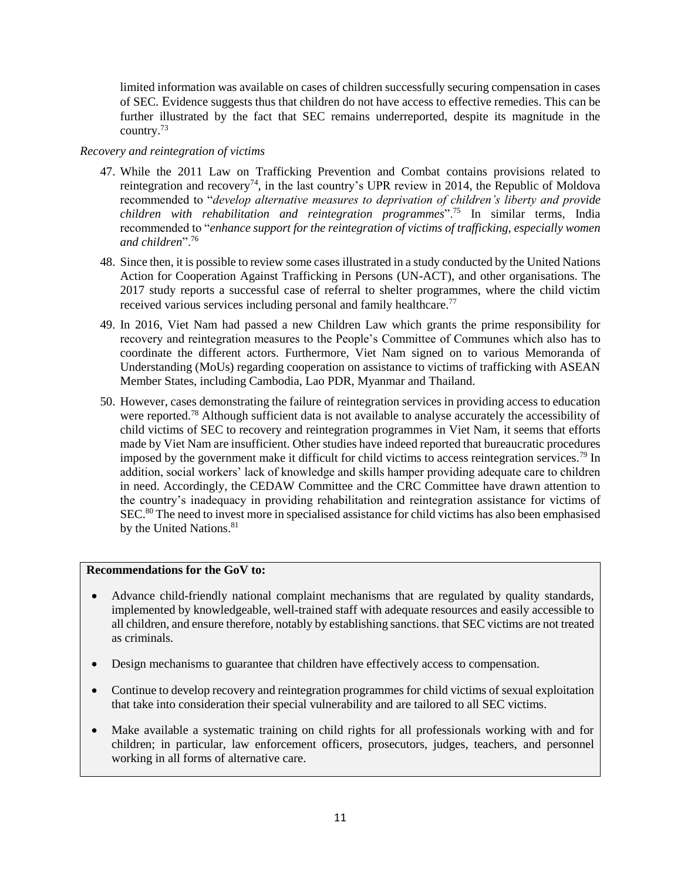limited information was available on cases of children successfully securing compensation in cases of SEC. Evidence suggests thus that children do not have access to effective remedies. This can be further illustrated by the fact that SEC remains underreported, despite its magnitude in the country.<sup>73</sup>

### *Recovery and reintegration of victims*

- 47. While the 2011 Law on Trafficking Prevention and Combat contains provisions related to reintegration and recovery<sup>74</sup>, in the last country's UPR review in 2014, the Republic of Moldova recommended to "*develop alternative measures to deprivation of children's liberty and provide children with rehabilitation and reintegration programmes*".<sup>75</sup> In similar terms, India recommended to "*enhance support for the reintegration of victims of trafficking, especially women and children*".<sup>76</sup>
- 48. Since then, it is possible to review some cases illustrated in a study conducted by the United Nations Action for Cooperation Against Trafficking in Persons (UN-ACT), and other organisations. The 2017 study reports a successful case of referral to shelter programmes, where the child victim received various services including personal and family healthcare.<sup>77</sup>
- 49. In 2016, Viet Nam had passed a new Children Law which grants the prime responsibility for recovery and reintegration measures to the People's Committee of Communes which also has to coordinate the different actors. Furthermore, Viet Nam signed on to various Memoranda of Understanding (MoUs) regarding cooperation on assistance to victims of trafficking with ASEAN Member States, including Cambodia, Lao PDR, Myanmar and Thailand.
- 50. However, cases demonstrating the failure of reintegration services in providing access to education were reported.<sup>78</sup> Although sufficient data is not available to analyse accurately the accessibility of child victims of SEC to recovery and reintegration programmes in Viet Nam, it seems that efforts made by Viet Nam are insufficient. Other studies have indeed reported that bureaucratic procedures imposed by the government make it difficult for child victims to access reintegration services.<sup>79</sup> In addition, social workers' lack of knowledge and skills hamper providing adequate care to children in need. Accordingly, the CEDAW Committee and the CRC Committee have drawn attention to the country's inadequacy in providing rehabilitation and reintegration assistance for victims of SEC.<sup>80</sup> The need to invest more in specialised assistance for child victims has also been emphasised by the United Nations.<sup>81</sup>

## **Recommendations for the GoV to:**

- Advance child-friendly national complaint mechanisms that are regulated by quality standards, implemented by knowledgeable, well-trained staff with adequate resources and easily accessible to all children, and ensure therefore, notably by establishing sanctions. that SEC victims are not treated as criminals.
- Design mechanisms to guarantee that children have effectively access to compensation.
- Continue to develop recovery and reintegration programmes for child victims of sexual exploitation that take into consideration their special vulnerability and are tailored to all SEC victims.
- Make available a systematic training on child rights for all professionals working with and for children; in particular, law enforcement officers, prosecutors, judges, teachers, and personnel working in all forms of alternative care.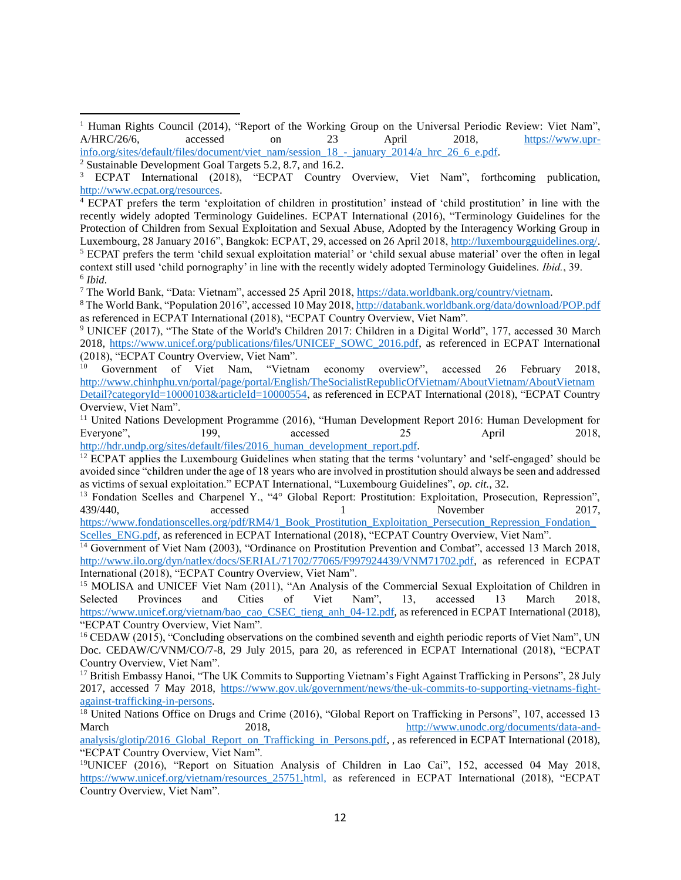$\overline{a}$ 

<sup>4</sup> ECPAT prefers the term 'exploitation of children in prostitution' instead of 'child prostitution' in line with the recently widely adopted Terminology Guidelines. ECPAT International (2016), "Terminology Guidelines for the Protection of Children from Sexual Exploitation and Sexual Abuse, Adopted by the Interagency Working Group in Luxembourg, 28 January 2016", Bangkok: ECPAT, 29, accessed on 26 April 2018[, http://luxembourgguidelines.org/.](http://luxembourgguidelines.org/) <sup>5</sup> ECPAT prefers the term 'child sexual exploitation material' or 'child sexual abuse material' over the often in legal context still used 'child pornography' in line with the recently widely adopted Terminology Guidelines. *Ibid.*, 39. 6 *Ibid.*

<sup>7</sup> The World Bank, "Data: Vietnam", accessed 25 April 2018, [https://data.worldbank.org/country/vietnam.](https://data.worldbank.org/country/vietnam)

<sup>8</sup> The World Bank, "Population 2016", accessed 10 May 2018[, http://databank.worldbank.org/data/download/POP.pdf](http://databank.worldbank.org/data/download/POP.pdf) as referenced in ECPAT International (2018), "ECPAT Country Overview, Viet Nam".

<sup>9</sup> UNICEF (2017), "The State of the World's Children 2017: Children in a Digital World", 177, accessed 30 March 2018, [https://www.unicef.org/publications/files/UNICEF\\_SOWC\\_2016.pdf,](https://www.unicef.org/publications/files/UNICEF_SOWC_2016.pdf) as referenced in ECPAT International (2018), "ECPAT Country Overview, Viet Nam".<br><sup>10</sup> Government of Viet Nam "Vietna

<sup>10</sup> Government of Viet Nam, "Vietnam economy overview", accessed 26 February 2018, [http://www.chinhphu.vn/portal/page/portal/English/TheSocialistRepublicOfVietnam/AboutVietnam/AboutVietnam](http://www.chinhphu.vn/portal/page/portal/English/TheSocialistRepublicOfVietnam/AboutVietnam/AboutVietnamDetail?categoryId=10000103&articleId=10000554) [Detail?categoryId=10000103&articleId=10000554,](http://www.chinhphu.vn/portal/page/portal/English/TheSocialistRepublicOfVietnam/AboutVietnam/AboutVietnamDetail?categoryId=10000103&articleId=10000554) as referenced in ECPAT International (2018), "ECPAT Country Overview, Viet Nam".

<sup>11</sup> United Nations Development Programme (2016), "Human Development Report 2016: Human Development for Everyone", 199, accessed 25 April 2018, [http://hdr.undp.org/sites/default/files/2016\\_human\\_development\\_report.pdf.](http://hdr.undp.org/sites/default/files/2016_human_development_report.pdf)

<sup>12</sup> ECPAT applies the Luxembourg Guidelines when stating that the terms 'voluntary' and 'self-engaged' should be avoided since "children under the age of 18 years who are involved in prostitution should always be seen and addressed as victims of sexual exploitation." ECPAT International, "Luxembourg Guidelines", *op. cit.*, 32.

<sup>13</sup> Fondation Scelles and Charpenel Y., "4° Global Report: Prostitution: Exploitation, Prosecution, Repression", 439/440, accessed 1 November 2017, https://www.fondationscelles.org/pdf/RM4/1\_Book\_Prostitution\_Exploitation\_Persecution\_Repression\_Fondation

[Scelles\\_ENG.pdf,](https://www.fondationscelles.org/pdf/RM4/1_Book_Prostitution_Exploitation_Persecution_Repression_Fondation_Scelles_ENG.pdf) as referenced in ECPAT International (2018), "ECPAT Country Overview, Viet Nam".

<sup>14</sup> Government of Viet Nam (2003), "Ordinance on Prostitution Prevention and Combat", accessed 13 March 2018, [http://www.ilo.org/dyn/natlex/docs/SERIAL/71702/77065/F997924439/VNM71702.pdf,](http://www.ilo.org/dyn/natlex/docs/SERIAL/71702/77065/F997924439/VNM71702.pdf) as referenced in ECPAT International (2018), "ECPAT Country Overview, Viet Nam".

<sup>15</sup> MOLISA and UNICEF Viet Nam (2011), "An Analysis of the Commercial Sexual Exploitation of Children in Selected Provinces and Cities of Viet Nam", 13, accessed 13 March 2018, [https://www.unicef.org/vietnam/bao\\_cao\\_CSEC\\_tieng\\_anh\\_04-12.pdf,](https://www.unicef.org/vietnam/bao_cao_CSEC_tieng_anh_04-12.pdf) as referenced in ECPAT International (2018), "ECPAT Country Overview, Viet Nam".

<sup>16</sup> CEDAW (2015), "Concluding observations on the combined seventh and eighth periodic reports of Viet Nam", UN Doc. CEDAW/C/VNM/CO/7-8, 29 July 2015, para 20, as referenced in ECPAT International (2018), "ECPAT Country Overview, Viet Nam".

<sup>17</sup> British Embassy Hanoi, "The UK Commits to Supporting Vietnam's Fight Against Trafficking in Persons", 28 July 2017, accessed 7 May 2018, [https://www.gov.uk/government/news/the-uk-commits-to-supporting-vietnams-fight](https://www.gov.uk/government/news/the-uk-commits-to-supporting-vietnams-fight-against-trafficking-in-persons)[against-trafficking-in-persons.](https://www.gov.uk/government/news/the-uk-commits-to-supporting-vietnams-fight-against-trafficking-in-persons)

<sup>18</sup> United Nations Office on Drugs and Crime (2016), "Global Report on Trafficking in Persons", 107, accessed 13 March 2018, 2018, [http://www.unodc.org/documents/data-and](http://www.unodc.org/documents/data-and-analysis/glotip/2016_Global_Report_on_Trafficking_in_Persons.pdf)[analysis/glotip/2016\\_Global\\_Report\\_on\\_Trafficking\\_in\\_Persons.pdf,](http://www.unodc.org/documents/data-and-analysis/glotip/2016_Global_Report_on_Trafficking_in_Persons.pdf) , as referenced in ECPAT International (2018), "ECPAT Country Overview, Viet Nam".

<sup>19</sup>UNICEF (2016), "Report on Situation Analysis of Children in Lao Cai", 152, accessed 04 May 2018, https://www.unicef.org/vietnam/resources 25751.html, as referenced in ECPAT International (2018), "ECPAT Country Overview, Viet Nam".

<sup>&</sup>lt;sup>1</sup> Human Rights Council (2014), "Report of the Working Group on the Universal Periodic Review: Viet Nam", A/HRC/26/6, accessed on 23 April 2018, [https://www.upr](https://www.upr-info.org/sites/default/files/document/viet_nam/session_18_-_january_2014/a_hrc_26_6_e.pdf)[info.org/sites/default/files/document/viet\\_nam/session\\_18\\_-\\_january\\_2014/a\\_hrc\\_26\\_6\\_e.pdf.](https://www.upr-info.org/sites/default/files/document/viet_nam/session_18_-_january_2014/a_hrc_26_6_e.pdf)

<sup>2</sup> Sustainable Development Goal Targets 5.2, 8.7, and 16.2.

<sup>&</sup>lt;sup>3</sup> ECPAT International (2018), "ECPAT Country Overview, Viet Nam", forthcoming publication, [http://www.ecpat.org/resources.](http://www.ecpat.org/resources)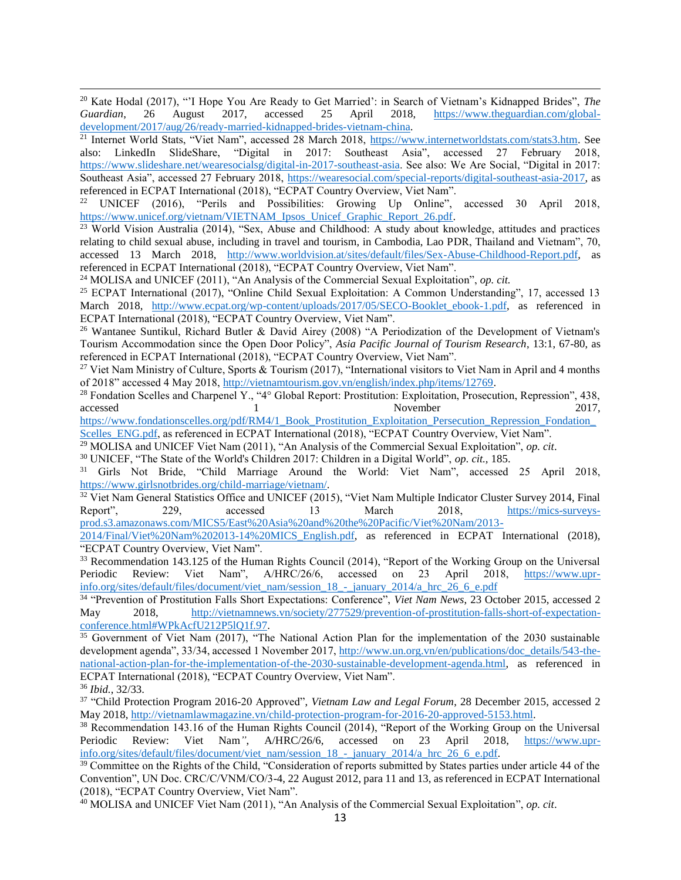$\overline{a}$ <sup>20</sup> Kate Hodal (2017), "'I Hope You Are Ready to Get Married': in Search of Vietnam's Kidnapped Brides", *The Guardian*, 26 August 2017, accessed 25 April 2018, https://www.theguardian.com/global-*Guardian*, 26 August 2017, accessed 25 April 2018, [https://www.theguardian.com/global](https://www.theguardian.com/global-development/2017/aug/26/ready-married-kidnapped-brides-vietnam-china)[development/2017/aug/26/ready-married-kidnapped-brides-vietnam-china.](https://www.theguardian.com/global-development/2017/aug/26/ready-married-kidnapped-brides-vietnam-china)

<sup>21</sup> Internet World Stats, "Viet Nam", accessed 28 March 2018, [https://www.internetworldstats.com/stats3.htm.](https://www.internetworldstats.com/stats3.htm) See also: LinkedIn SlideShare, "Digital in 2017: Southeast Asia", accessed 27 February 2018, [https://www.slideshare.net/wearesocialsg/digital-in-2017-southeast-asia.](https://www.slideshare.net/wearesocialsg/digital-in-2017-southeast-asia) See also: We Are Social, "Digital in 2017: Southeast Asia", accessed 27 February 2018, [https://wearesocial.com/special-reports/digital-southeast-asia-2017,](https://wearesocial.com/special-reports/digital-southeast-asia-2017) as referenced in ECPAT International (2018), "ECPAT Country Overview, Viet Nam".

<sup>22</sup> UNICEF (2016), "Perils and Possibilities: Growing Up Online", accessed 30 April 2018, [https://www.unicef.org/vietnam/VIETNAM\\_Ipsos\\_Unicef\\_Graphic\\_Report\\_26.pdf.](https://www.unicef.org/vietnam/VIETNAM_Ipsos_Unicef_Graphic_Report_26.pdf)

<sup>23</sup> World Vision Australia (2014), "Sex, Abuse and Childhood: A study about knowledge, attitudes and practices relating to child sexual abuse, including in travel and tourism, in Cambodia, Lao PDR, Thailand and Vietnam", 70, accessed 13 March 2018, [http://www.worldvision.at/sites/default/files/Sex-Abuse-Childhood-Report.pdf,](http://www.worldvision.at/sites/default/files/Sex-Abuse-Childhood-Report.pdf) as referenced in ECPAT International (2018), "ECPAT Country Overview, Viet Nam".

<sup>24</sup> MOLISA and UNICEF (2011), "An Analysis of the Commercial Sexual Exploitation", *op. cit.*

<sup>25</sup> ECPAT International (2017), "Online Child Sexual Exploitation: A Common Understanding", 17, accessed 13 March 2018, [http://www.ecpat.org/wp-content/uploads/2017/05/SECO-Booklet\\_ebook-1.pdf,](http://www.ecpat.org/wp-content/uploads/2017/05/SECO-Booklet_ebook-1.pdf) as referenced in ECPAT International (2018), "ECPAT Country Overview, Viet Nam".

<sup>26</sup> Wantanee Suntikul, Richard Butler & David Airey (2008) "A Periodization of the Development of Vietnam's Tourism Accommodation since the Open Door Policy", *Asia Pacific Journal of Tourism Research*, 13:1, 67-80, as referenced in ECPAT International (2018), "ECPAT Country Overview, Viet Nam".

<sup>27</sup> Viet Nam Ministry of Culture, Sports & Tourism (2017), "International visitors to Viet Nam in April and 4 months of 2018" accessed 4 May 2018, [http://vietnamtourism.gov.vn/english/index.php/items/12769.](http://vietnamtourism.gov.vn/english/index.php/items/12769)

<sup>28</sup> Fondation Scelles and Charpenel Y., "4° Global Report: Prostitution: Exploitation, Prosecution, Repression", 438, accessed 1 1 November 2017,

https://www.fondationscelles.org/pdf/RM4/1\_Book\_Prostitution\_Exploitation\_Persecution\_Repression\_Fondation [Scelles\\_ENG.pdf,](https://www.fondationscelles.org/pdf/RM4/1_Book_Prostitution_Exploitation_Persecution_Repression_Fondation_Scelles_ENG.pdf) as referenced in ECPAT International (2018), "ECPAT Country Overview, Viet Nam".

<sup>29</sup> MOLISA and UNICEF Viet Nam (2011), "An Analysis of the Commercial Sexual Exploitation", *op. cit*.

<sup>30</sup> UNICEF, "The State of the World's Children 2017: Children in a Digital World", *op. cit.,* 185.

<sup>31</sup> Girls Not Bride, "Child Marriage Around the World: Viet Nam", accessed 25 April 2018, [https://www.girlsnotbrides.org/child-marriage/vietnam/.](https://www.girlsnotbrides.org/child-marriage/vietnam/)

 $32$  Viet Nam General Statistics Office and UNICEF (2015), "Viet Nam Multiple Indicator Cluster Survey 2014, Final Report", 229, accessed 13 March 2018, [https://mics-surveys](https://mics-surveys-prod.s3.amazonaws.com/MICS5/East%20Asia%20and%20the%20Pacific/Viet%20Nam/2013-2014/Final/Viet%20Nam%202013-14%20MICS_English.pdf)[prod.s3.amazonaws.com/MICS5/East%20Asia%20and%20the%20Pacific/Viet%20Nam/2013-](https://mics-surveys-prod.s3.amazonaws.com/MICS5/East%20Asia%20and%20the%20Pacific/Viet%20Nam/2013-2014/Final/Viet%20Nam%202013-14%20MICS_English.pdf)

[2014/Final/Viet%20Nam%202013-14%20MICS\\_English.pdf,](https://mics-surveys-prod.s3.amazonaws.com/MICS5/East%20Asia%20and%20the%20Pacific/Viet%20Nam/2013-2014/Final/Viet%20Nam%202013-14%20MICS_English.pdf) as referenced in ECPAT International (2018), "ECPAT Country Overview, Viet Nam".

<sup>33</sup> Recommendation 143.125 of the Human Rights Council (2014), "Report of the Working Group on the Universal Periodic Review: Viet Nam", A/HRC/26/6, accessed on 23 April 2018, [https://www.upr](https://www.upr-info.org/sites/default/files/document/viet_nam/session_18_-_january_2014/a_hrc_26_6_e.pdf)[info.org/sites/default/files/document/viet\\_nam/session\\_18\\_-\\_january\\_2014/a\\_hrc\\_26\\_6\\_e.pdf](https://www.upr-info.org/sites/default/files/document/viet_nam/session_18_-_january_2014/a_hrc_26_6_e.pdf)

34 "Prevention of Prostitution Falls Short Expectations: Conference", *Viet Nam News*, 23 October 2015, accessed 2 May 2018, [http://vietnamnews.vn/society/277529/prevention-of-prostitution-falls-short-of-expectation](http://vietnamnews.vn/society/277529/prevention-of-prostitution-falls-short-of-expectation-conference.html#WPkAcfU212P5lQ1f.97)conference.html#WPkAcfU212P5lQ1f.97.

<sup>35</sup> Government of Viet Nam (2017), "The National Action Plan for the implementation of the 2030 sustainable development agenda", 33/34, accessed 1 November 2017, [http://www.un.org.vn/en/publications/doc\\_details/543-the](http://www.un.org.vn/en/publications/doc_details/543-the-national-action-plan-for-the-implementation-of-the-2030-sustainable-development-agenda.html)[national-action-plan-for-the-implementation-of-the-2030-sustainable-development-agenda.html,](http://www.un.org.vn/en/publications/doc_details/543-the-national-action-plan-for-the-implementation-of-the-2030-sustainable-development-agenda.html) as referenced in ECPAT International (2018), "ECPAT Country Overview, Viet Nam". <sup>36</sup> *Ibid.*, 32/33.

37 "Child Protection Program 2016-20 Approved", *Vietnam Law and Legal Forum*, 28 December 2015, accessed 2 May 2018, [http://vietnamlawmagazine.vn/child-protection-program-for-2016-20-approved-5153.html.](http://vietnamlawmagazine.vn/child-protection-program-for-2016-20-approved-5153.html)

<sup>38</sup> Recommendation 143.16 of the Human Rights Council (2014), "Report of the Working Group on the Universal<br>Periodic Review: Viet Nam", A/HRC/26/6, accessed on 23 April 2018, https://www.upr-Periodic Review: Viet Nam*"*, A/HRC/26/6, accessed on 23 April 2018, [https://www.upr](https://www.upr-info.org/sites/default/files/document/viet_nam/session_18_-_january_2014/a_hrc_26_6_e.pdf)[info.org/sites/default/files/document/viet\\_nam/session\\_18\\_-\\_january\\_2014/a\\_hrc\\_26\\_6\\_e.pdf.](https://www.upr-info.org/sites/default/files/document/viet_nam/session_18_-_january_2014/a_hrc_26_6_e.pdf)

<sup>39</sup> Committee on the Rights of the Child, "Consideration of reports submitted by States parties under article 44 of the Convention", UN Doc. CRC/C/VNM/CO/3-4, 22 August 2012, para 11 and 13, as referenced in ECPAT International (2018), "ECPAT Country Overview, Viet Nam".

<sup>40</sup> MOLISA and UNICEF Viet Nam (2011), "An Analysis of the Commercial Sexual Exploitation", *op. cit*.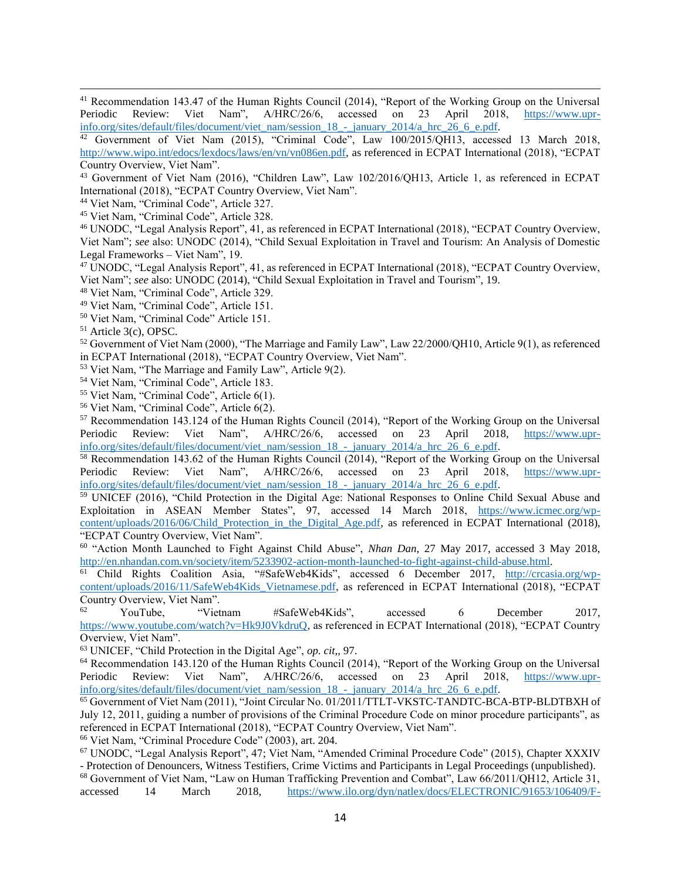$\overline{a}$  $41$  Recommendation 143.47 of the Human Rights Council (2014), "Report of the Working Group on the Universal Periodic Review: Viet Nam", A/HRC/26/6, accessed on 23 April 2018, [https://www.upr](https://www.upr-info.org/sites/default/files/document/viet_nam/session_18_-_january_2014/a_hrc_26_6_e.pdf)[info.org/sites/default/files/document/viet\\_nam/session\\_18\\_-\\_january\\_2014/a\\_hrc\\_26\\_6\\_e.pdf.](https://www.upr-info.org/sites/default/files/document/viet_nam/session_18_-_january_2014/a_hrc_26_6_e.pdf)

<sup>42</sup> Government of Viet Nam (2015), "Criminal Code", Law 100/2015/QH13, accessed 13 March 2018, [http://www.wipo.int/edocs/lexdocs/laws/en/vn/vn086en.pdf,](http://www.wipo.int/edocs/lexdocs/laws/en/vn/vn086en.pdf) as referenced in ECPAT International (2018), "ECPAT Country Overview, Viet Nam".

<sup>43</sup> Government of Viet Nam (2016), "Children Law", Law 102/2016/QH13, Article 1, as referenced in ECPAT International (2018), "ECPAT Country Overview, Viet Nam".

<sup>44</sup> Viet Nam, "Criminal Code", Article 327.

<sup>45</sup> Viet Nam, "Criminal Code", Article 328.

<sup>46</sup> UNODC, "Legal Analysis Report", 41, as referenced in ECPAT International (2018), "ECPAT Country Overview, Viet Nam"; *see* also: UNODC (2014), "Child Sexual Exploitation in Travel and Tourism: An Analysis of Domestic Legal Frameworks – Viet Nam", 19.

<sup>47</sup> UNODC, "Legal Analysis Report", 41, as referenced in ECPAT International (2018), "ECPAT Country Overview. Viet Nam"; *see* also: UNODC (2014), "Child Sexual Exploitation in Travel and Tourism", 19.

<sup>48</sup> Viet Nam, "Criminal Code", Article 329.

<sup>49</sup> Viet Nam, "Criminal Code", Article 151.

<sup>50</sup> Viet Nam, "Criminal Code" Article 151.

<sup>51</sup> Article 3(c), OPSC.

<sup>52</sup> Government of Viet Nam (2000), "The Marriage and Family Law", Law 22/2000/QH10, Article 9(1), as referenced in ECPAT International (2018), "ECPAT Country Overview, Viet Nam".

<sup>53</sup> Viet Nam, "The Marriage and Family Law", Article 9(2).

<sup>54</sup> Viet Nam, "Criminal Code", Article 183.

<sup>55</sup> Viet Nam, "Criminal Code", Article 6(1).

<sup>56</sup> Viet Nam, "Criminal Code", Article 6(2).

<sup>57</sup> Recommendation 143.124 of the Human Rights Council (2014), "Report of the Working Group on the Universal Periodic Review: Viet Nam", A/HRC/26/6, accessed on 23 April 2018, [https://www.upr](https://www.upr-info.org/sites/default/files/document/viet_nam/session_18_-_january_2014/a_hrc_26_6_e.pdf)[info.org/sites/default/files/document/viet\\_nam/session\\_18\\_-\\_january\\_2014/a\\_hrc\\_26\\_6\\_e.pdf.](https://www.upr-info.org/sites/default/files/document/viet_nam/session_18_-_january_2014/a_hrc_26_6_e.pdf)

<sup>58</sup> Recommendation 143.62 of the Human Rights Council (2014), "Report of the Working Group on the Universal<br>Periodic Review: Viet Nam",  $A/HRC/26/6$ , accessed on 23 April 2018, https://www.upr-Periodic Review: Viet Nam", A/HRC/26/6, accessed on 23 April 2018, [https://www.upr](https://www.upr-info.org/sites/default/files/document/viet_nam/session_18_-_january_2014/a_hrc_26_6_e.pdf)[info.org/sites/default/files/document/viet\\_nam/session\\_18\\_-\\_january\\_2014/a\\_hrc\\_26\\_6\\_e.pdf.](https://www.upr-info.org/sites/default/files/document/viet_nam/session_18_-_january_2014/a_hrc_26_6_e.pdf)

<sup>59</sup> UNICEF (2016), "Child Protection in the Digital Age: National Responses to Online Child Sexual Abuse and Exploitation in ASEAN Member States", 97, accessed 14 March 2018, [https://www.icmec.org/wp](https://www.icmec.org/wp-content/uploads/2016/06/Child_Protection_in_the_Digital_Age.pdf)[content/uploads/2016/06/Child\\_Protection\\_in\\_the\\_Digital\\_Age.pdf,](https://www.icmec.org/wp-content/uploads/2016/06/Child_Protection_in_the_Digital_Age.pdf) as referenced in ECPAT International (2018), "ECPAT Country Overview, Viet Nam".

<sup>60</sup> "Action Month Launched to Fight Against Child Abuse", *Nhan Dan*, 27 May 2017, accessed 3 May 2018, [http://en.nhandan.com.vn/society/item/5233902-action-month-launched-to-fight-against-child-abuse.html.](http://en.nhandan.com.vn/society/item/5233902-action-month-launched-to-fight-against-child-abuse.html)

<sup>61</sup> Child Rights Coalition Asia, "#SafeWeb4Kids", accessed 6 December 2017, [http://crcasia.org/wp](http://crcasia.org/wp-content/uploads/2016/11/SafeWeb4Kids_Vietnamese.pdf)[content/uploads/2016/11/SafeWeb4Kids\\_Vietnamese.pdf,](http://crcasia.org/wp-content/uploads/2016/11/SafeWeb4Kids_Vietnamese.pdf) as referenced in ECPAT International (2018), "ECPAT Country Overview, Viet Nam".<br>
YouTube, "Viet

"Vietnam #SafeWeb4Kids", accessed 6 December 2017, [https://www.youtube.com/watch?v=Hk9J0VkdruQ,](https://www.youtube.com/watch?v=Hk9J0VkdruQ) as referenced in ECPAT International (2018), "ECPAT Country Overview, Viet Nam".

<sup>63</sup> UNICEF, "Child Protection in the Digital Age", *op. cit*,, 97.

<sup>64</sup> Recommendation 143.120 of the Human Rights Council (2014), "Report of the Working Group on the Universal Periodic Review: Viet Nam", A/HRC/26/6, accessed on 23 April 2018, [https://www.upr](https://www.upr-info.org/sites/default/files/document/viet_nam/session_18_-_january_2014/a_hrc_26_6_e.pdf)[info.org/sites/default/files/document/viet\\_nam/session\\_18\\_-\\_january\\_2014/a\\_hrc\\_26\\_6\\_e.pdf.](https://www.upr-info.org/sites/default/files/document/viet_nam/session_18_-_january_2014/a_hrc_26_6_e.pdf)

<sup>65</sup> Government of Viet Nam (2011), "Joint Circular No. 01/2011/TTLT-VKSTC-TANDTC-BCA-BTP-BLDTBXH of July 12, 2011, guiding a number of provisions of the Criminal Procedure Code on minor procedure participants", as referenced in ECPAT International (2018), "ECPAT Country Overview, Viet Nam".

<sup>66</sup> Viet Nam, "Criminal Procedure Code" (2003), art. 204.

<sup>67</sup> UNODC, "Legal Analysis Report", 47; Viet Nam, "Amended Criminal Procedure Code" (2015), Chapter XXXIV - Protection of Denouncers, Witness Testifiers, Crime Victims and Participants in Legal Proceedings (unpublished).

<sup>68</sup> Government of Viet Nam, "Law on Human Trafficking Prevention and Combat", Law 66/2011/QH12, Article 31, accessed 14 March 2018, [https://www.ilo.org/dyn/natlex/docs/ELECTRONIC/91653/106409/F-](https://www.ilo.org/dyn/natlex/docs/ELECTRONIC/91653/106409/F-1429920306/VNM91653%20Eng.pdf)